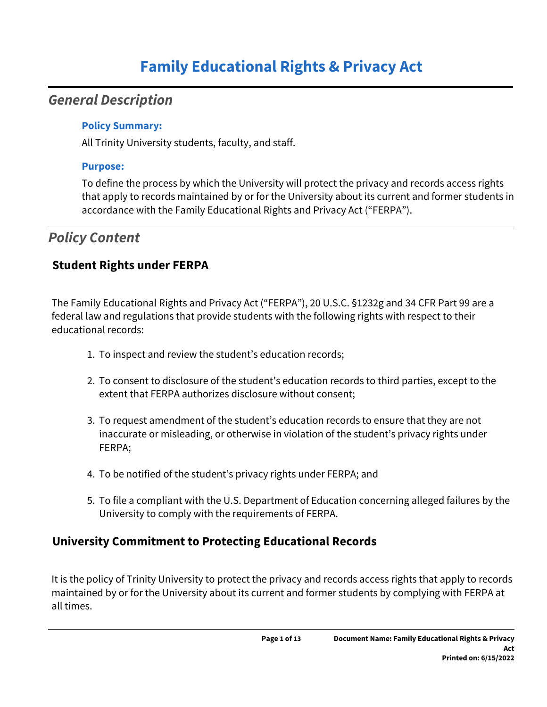# **Family Educational Rights & Privacy Act**

## *General Description*

#### **Policy Summary:**

All Trinity University students, faculty, and staff.

#### **Purpose:**

To define the process by which the University will protect the privacy and records access rights that apply to records maintained by or for the University about its current and former students in accordance with the Family Educational Rights and Privacy Act ("FERPA").

## *Policy Content*

## **Student Rights under FERPA**

The Family Educational Rights and Privacy Act ("FERPA"), 20 U.S.C. §1232g and 34 CFR Part 99 are a federal law and regulations that provide students with the following rights with respect to their educational records:

- 1. To inspect and review the student's education records;
- 2. To consent to disclosure of the student's education records to third parties, except to the extent that FERPA authorizes disclosure without consent;
- 3. To request amendment of the student's education records to ensure that they are not inaccurate or misleading, or otherwise in violation of the student's privacy rights under FERPA;
- 4. To be notified of the student's privacy rights under FERPA; and
- 5. To file a compliant with the U.S. Department of Education concerning alleged failures by the University to comply with the requirements of FERPA.

## **University Commitment to Protecting Educational Records**

It is the policy of Trinity University to protect the privacy and records access rights that apply to records maintained by or for the University about its current and former students by complying with FERPA at all times.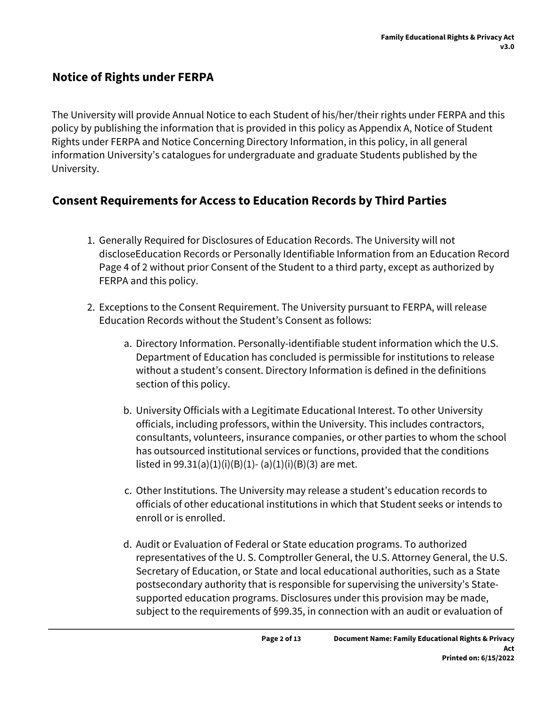## **Notice of Rights under FERPA**

The University will provide Annual Notice to each Student of his/her/their rights under FERPA and this policy by publishing the information that is provided in this policy as Appendix A, Notice of Student Rights under FERPA and Notice Concerning Directory Information, in this policy, in all general information University's catalogues for undergraduate and graduate Students published by the University.

## **Consent Requirements for Access to Education Records by Third Parties**

- 1. Generally Required for Disclosures of Education Records. The University will not discloseEducation Records or Personally Identifiable Information from an Education Record Page 4 of 2 without prior Consent of the Student to a third party, except as authorized by FERPA and this policy.
- 2. Exceptions to the Consent Requirement. The University pursuant to FERPA, will release Education Records without the Student's Consent as follows:
	- a. Directory Information. Personally-identifiable student information which the U.S. Department of Education has concluded is permissible for institutions to release without a student's consent. Directory Information is defined in the definitions section of this policy.
	- b. University Officials with a Legitimate Educational Interest. To other University officials, including professors, within the University. This includes contractors, consultants, volunteers, insurance companies, or other parties to whom the school has outsourced institutional services or functions, provided that the conditions listed in  $99.31(a)(1)(i)(B)(1)$ - (a)(1)(i)(B)(3) are met.
	- c. Other Institutions. The University may release a student's education records to officials of other educational institutions in which that Student seeks or intends to enroll or is enrolled.
	- d. Audit or Evaluation of Federal or State education programs. To authorized representatives of the U. S. Comptroller General, the U.S. Attorney General, the U.S. Secretary of Education, or State and local educational authorities, such as a State postsecondary authority that is responsible for supervising the university's Statesupported education programs. Disclosures under this provision may be made, subject to the requirements of §99.35, in connection with an audit or evaluation of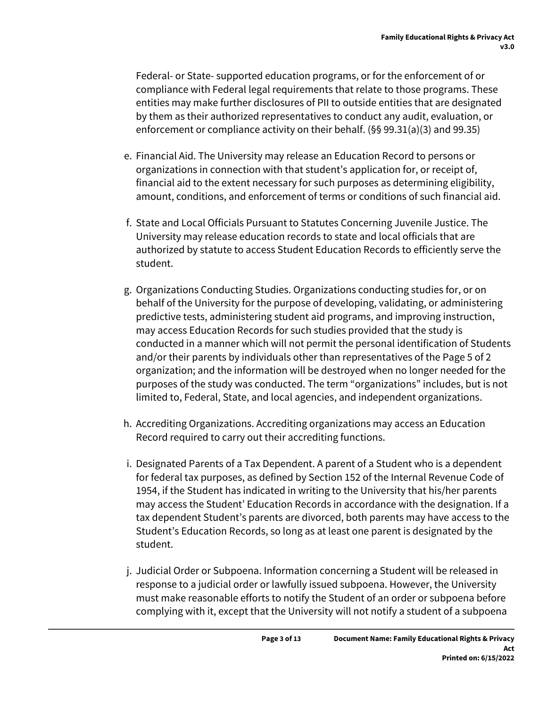Federal- or State- supported education programs, or for the enforcement of or compliance with Federal legal requirements that relate to those programs. These entities may make further disclosures of PII to outside entities that are designated by them as their authorized representatives to conduct any audit, evaluation, or enforcement or compliance activity on their behalf. (§§ 99.31(a)(3) and 99.35)

- e. Financial Aid. The University may release an Education Record to persons or organizations in connection with that student's application for, or receipt of, financial aid to the extent necessary for such purposes as determining eligibility, amount, conditions, and enforcement of terms or conditions of such financial aid.
- f. State and Local Officials Pursuant to Statutes Concerning Juvenile Justice. The University may release education records to state and local officials that are authorized by statute to access Student Education Records to efficiently serve the student.
- g. Organizations Conducting Studies. Organizations conducting studies for, or on behalf of the University for the purpose of developing, validating, or administering predictive tests, administering student aid programs, and improving instruction, may access Education Records for such studies provided that the study is conducted in a manner which will not permit the personal identification of Students and/or their parents by individuals other than representatives of the Page 5 of 2 organization; and the information will be destroyed when no longer needed for the purposes of the study was conducted. The term "organizations" includes, but is not limited to, Federal, State, and local agencies, and independent organizations.
- h. Accrediting Organizations. Accrediting organizations may access an Education Record required to carry out their accrediting functions.
- i. Designated Parents of a Tax Dependent. A parent of a Student who is a dependent for federal tax purposes, as defined by Section 152 of the Internal Revenue Code of 1954, if the Student has indicated in writing to the University that his/her parents may access the Student' Education Records in accordance with the designation. If a tax dependent Student's parents are divorced, both parents may have access to the Student's Education Records, so long as at least one parent is designated by the student.
- j. Judicial Order or Subpoena. Information concerning a Student will be released in response to a judicial order or lawfully issued subpoena. However, the University must make reasonable efforts to notify the Student of an order or subpoena before complying with it, except that the University will not notify a student of a subpoena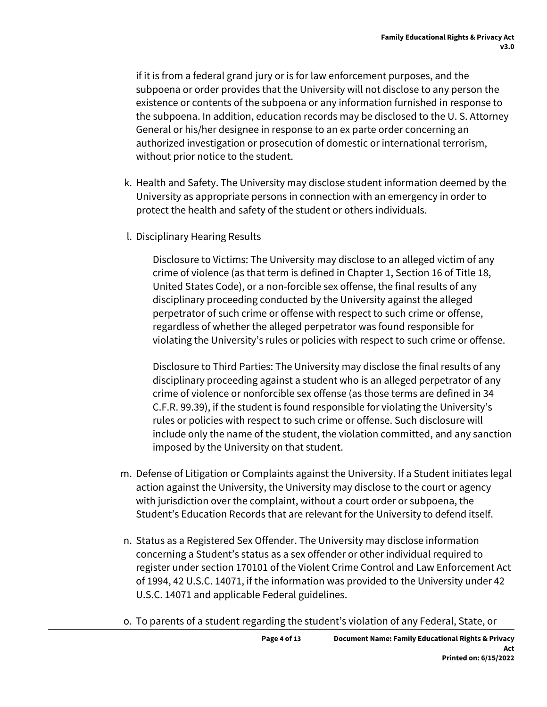if it is from a federal grand jury or is for law enforcement purposes, and the subpoena or order provides that the University will not disclose to any person the existence or contents of the subpoena or any information furnished in response to the subpoena. In addition, education records may be disclosed to the U. S. Attorney General or his/her designee in response to an ex parte order concerning an authorized investigation or prosecution of domestic or international terrorism, without prior notice to the student.

- k. Health and Safety. The University may disclose student information deemed by the University as appropriate persons in connection with an emergency in order to protect the health and safety of the student or others individuals.
- l. Disciplinary Hearing Results

Disclosure to Victims: The University may disclose to an alleged victim of any crime of violence (as that term is defined in Chapter 1, Section 16 of Title 18, United States Code), or a non-forcible sex offense, the final results of any disciplinary proceeding conducted by the University against the alleged perpetrator of such crime or offense with respect to such crime or offense, regardless of whether the alleged perpetrator was found responsible for violating the University's rules or policies with respect to such crime or offense.

Disclosure to Third Parties: The University may disclose the final results of any disciplinary proceeding against a student who is an alleged perpetrator of any crime of violence or nonforcible sex offense (as those terms are defined in 34 C.F.R. 99.39), if the student is found responsible for violating the University's rules or policies with respect to such crime or offense. Such disclosure will include only the name of the student, the violation committed, and any sanction imposed by the University on that student.

- m. Defense of Litigation or Complaints against the University. If a Student initiates legal action against the University, the University may disclose to the court or agency with jurisdiction over the complaint, without a court order or subpoena, the Student's Education Records that are relevant for the University to defend itself.
- n. Status as a Registered Sex Offender. The University may disclose information concerning a Student's status as a sex offender or other individual required to register under section 170101 of the Violent Crime Control and Law Enforcement Act of 1994, 42 U.S.C. 14071, if the information was provided to the University under 42 U.S.C. 14071 and applicable Federal guidelines.
- o. To parents of a student regarding the student's violation of any Federal, State, or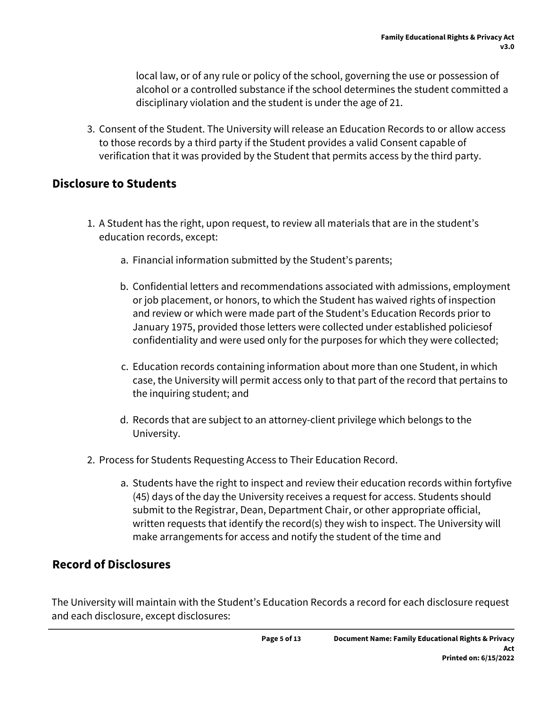local law, or of any rule or policy of the school, governing the use or possession of alcohol or a controlled substance if the school determines the student committed a disciplinary violation and the student is under the age of 21.

3. Consent of the Student. The University will release an Education Records to or allow access to those records by a third party if the Student provides a valid Consent capable of verification that it was provided by the Student that permits access by the third party.

## **Disclosure to Students**

- 1. A Student has the right, upon request, to review all materials that are in the student's education records, except:
	- a. Financial information submitted by the Student's parents;
	- b. Confidential letters and recommendations associated with admissions, employment or job placement, or honors, to which the Student has waived rights of inspection and review or which were made part of the Student's Education Records prior to January 1975, provided those letters were collected under established policiesof confidentiality and were used only for the purposes for which they were collected;
	- c. Education records containing information about more than one Student, in which case, the University will permit access only to that part of the record that pertains to the inquiring student; and
	- d. Records that are subject to an attorney-client privilege which belongs to the University.
- 2. Process for Students Requesting Access to Their Education Record.
	- a. Students have the right to inspect and review their education records within fortyfive (45) days of the day the University receives a request for access. Students should submit to the Registrar, Dean, Department Chair, or other appropriate official, written requests that identify the record(s) they wish to inspect. The University will make arrangements for access and notify the student of the time and

## **Record of Disclosures**

The University will maintain with the Student's Education Records a record for each disclosure request and each disclosure, except disclosures: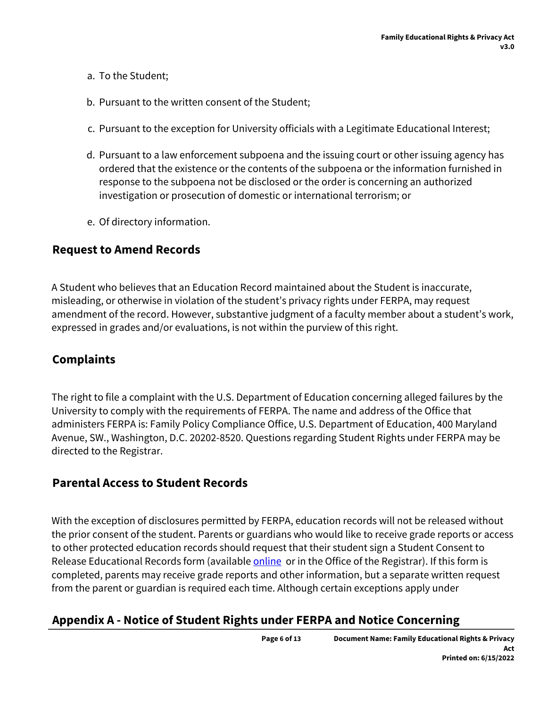- a. To the Student;
- b. Pursuant to the written consent of the Student;
- c. Pursuant to the exception for University officials with a Legitimate Educational Interest;
- d. Pursuant to a law enforcement subpoena and the issuing court or other issuing agency has ordered that the existence or the contents of the subpoena or the information furnished in response to the subpoena not be disclosed or the order is concerning an authorized investigation or prosecution of domestic or international terrorism; or
- e. Of directory information.

#### **Request to Amend Records**

A Student who believes that an Education Record maintained about the Student is inaccurate, misleading, or otherwise in violation of the student's privacy rights under FERPA, may request amendment of the record. However, substantive judgment of a faculty member about a student's work, expressed in grades and/or evaluations, is not within the purview of this right.

### **Complaints**

The right to file a complaint with the U.S. Department of Education concerning alleged failures by the University to comply with the requirements of FERPA. The name and address of the Office that administers FERPA is: Family Policy Compliance Office, U.S. Department of Education, 400 Maryland Avenue, SW., Washington, D.C. 20202-8520. Questions regarding Student Rights under FERPA may be directed to the Registrar.

#### **Parental Access to Student Records**

With the exception of disclosures permitted by FERPA, education records will not be released without the prior consent of the student. Parents or guardians who would like to receive grade reports or access to other protected education records should request that their student sign a Student Consent to Release Educational Records form (available [online](https://www.trinity.edu/directory/departments-offices/registrar/forms) or in the Office of the Registrar). If this form is completed, parents may receive grade reports and other information, but a separate written request from the parent or guardian is required each time. Although certain exceptions apply under

#### **Appendix A - Notice of Student Rights under FERPA and Notice Concerning**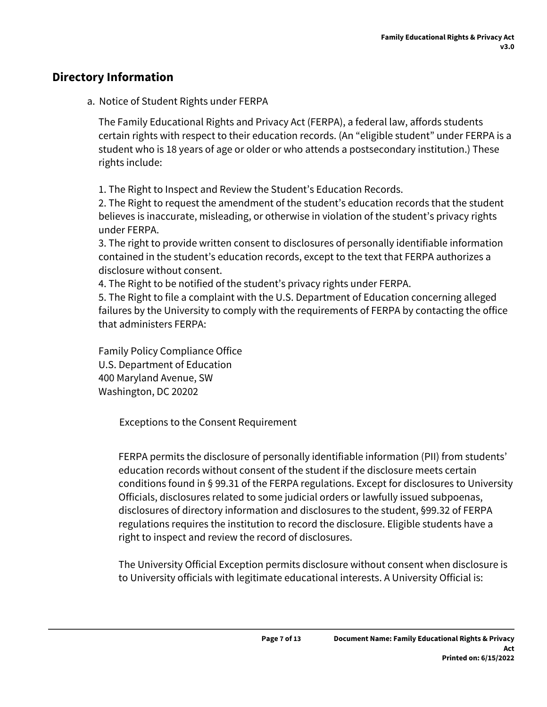## **Directory Information**

a. Notice of Student Rights under FERPA

The Family Educational Rights and Privacy Act (FERPA), a federal law, affords students certain rights with respect to their education records. (An "eligible student" under FERPA is a student who is 18 years of age or older or who attends a postsecondary institution.) These rights include:

1. The Right to Inspect and Review the Student's Education Records.

2. The Right to request the amendment of the student's education records that the student believes is inaccurate, misleading, or otherwise in violation of the student's privacy rights under FERPA.

3. The right to provide written consent to disclosures of personally identifiable information contained in the student's education records, except to the text that FERPA authorizes a disclosure without consent.

4. The Right to be notified of the student's privacy rights under FERPA.

5. The Right to file a complaint with the U.S. Department of Education concerning alleged failures by the University to comply with the requirements of FERPA by contacting the office that administers FERPA:

Family Policy Compliance Office U.S. Department of Education 400 Maryland Avenue, SW Washington, DC 20202

Exceptions to the Consent Requirement

FERPA permits the disclosure of personally identifiable information (PII) from students' education records without consent of the student if the disclosure meets certain conditions found in § 99.31 of the FERPA regulations. Except for disclosures to University Officials, disclosures related to some judicial orders or lawfully issued subpoenas, disclosures of directory information and disclosures to the student, §99.32 of FERPA regulations requires the institution to record the disclosure. Eligible students have a right to inspect and review the record of disclosures.

The University Official Exception permits disclosure without consent when disclosure is to University officials with legitimate educational interests. A University Official is: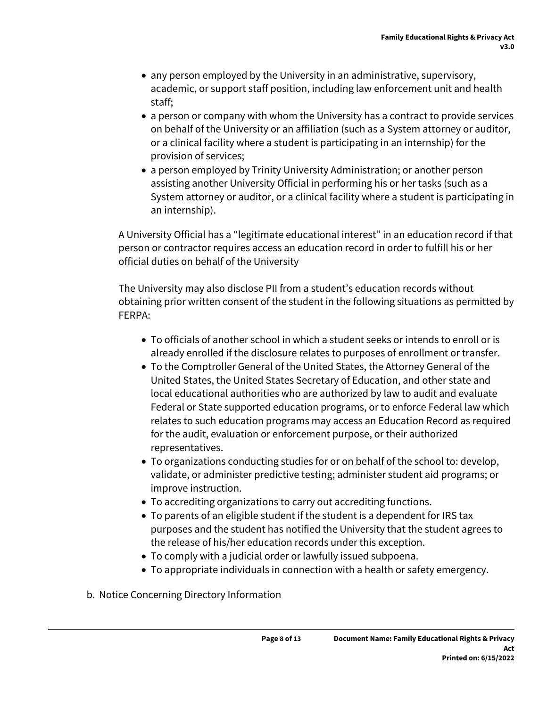- any person employed by the University in an administrative, supervisory, academic, or support staff position, including law enforcement unit and health staff;
- a person or company with whom the University has a contract to provide services on behalf of the University or an affiliation (such as a System attorney or auditor, or a clinical facility where a student is participating in an internship) for the provision of services;
- a person employed by Trinity University Administration; or another person assisting another University Official in performing his or her tasks (such as a System attorney or auditor, or a clinical facility where a student is participating in an internship).

A University Official has a "legitimate educational interest" in an education record if that person or contractor requires access an education record in order to fulfill his or her official duties on behalf of the University

The University may also disclose PII from a student's education records without obtaining prior written consent of the student in the following situations as permitted by FERPA:

- To officials of another school in which a student seeks or intends to enroll or is already enrolled if the disclosure relates to purposes of enrollment or transfer.
- To the Comptroller General of the United States, the Attorney General of the United States, the United States Secretary of Education, and other state and local educational authorities who are authorized by law to audit and evaluate Federal or State supported education programs, or to enforce Federal law which relates to such education programs may access an Education Record as required for the audit, evaluation or enforcement purpose, or their authorized representatives.
- To organizations conducting studies for or on behalf of the school to: develop, validate, or administer predictive testing; administer student aid programs; or improve instruction.
- To accrediting organizations to carry out accrediting functions.
- To parents of an eligible student if the student is a dependent for IRS tax purposes and the student has notified the University that the student agrees to the release of his/her education records under this exception.
- To comply with a judicial order or lawfully issued subpoena.
- To appropriate individuals in connection with a health or safety emergency.
- b. Notice Concerning Directory Information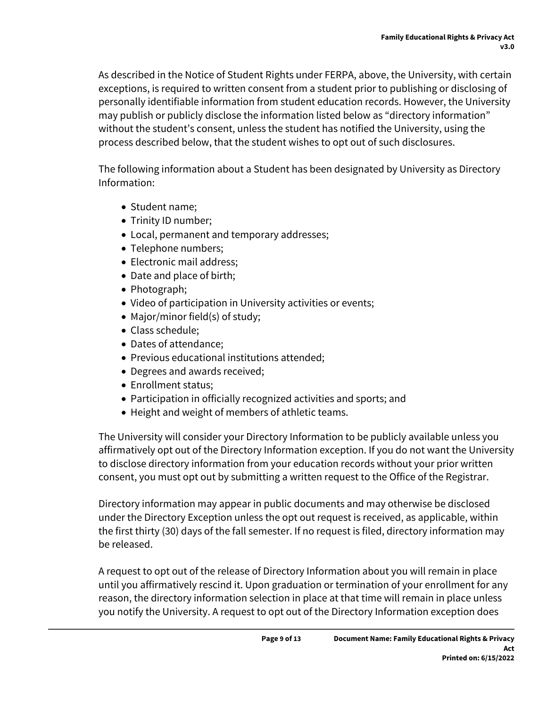As described in the Notice of Student Rights under FERPA, above, the University, with certain exceptions, is required to written consent from a student prior to publishing or disclosing of personally identifiable information from student education records. However, the University may publish or publicly disclose the information listed below as "directory information" without the student's consent, unless the student has notified the University, using the process described below, that the student wishes to opt out of such disclosures.

The following information about a Student has been designated by University as Directory Information:

- Student name:
- Trinity ID number;
- Local, permanent and temporary addresses;
- Telephone numbers;
- Electronic mail address;
- Date and place of birth;
- Photograph;
- Video of participation in University activities or events;
- Major/minor field(s) of study;
- Class schedule;
- Dates of attendance;
- Previous educational institutions attended;
- Degrees and awards received;
- Enrollment status;
- Participation in officially recognized activities and sports; and
- Height and weight of members of athletic teams.

The University will consider your Directory Information to be publicly available unless you affirmatively opt out of the Directory Information exception. If you do not want the University to disclose directory information from your education records without your prior written consent, you must opt out by submitting a written request to the Office of the Registrar.

Directory information may appear in public documents and may otherwise be disclosed under the Directory Exception unless the opt out request is received, as applicable, within the first thirty (30) days of the fall semester. If no request is filed, directory information may be released.

A request to opt out of the release of Directory Information about you will remain in place until you affirmatively rescind it. Upon graduation or termination of your enrollment for any reason, the directory information selection in place at that time will remain in place unless you notify the University. A request to opt out of the Directory Information exception does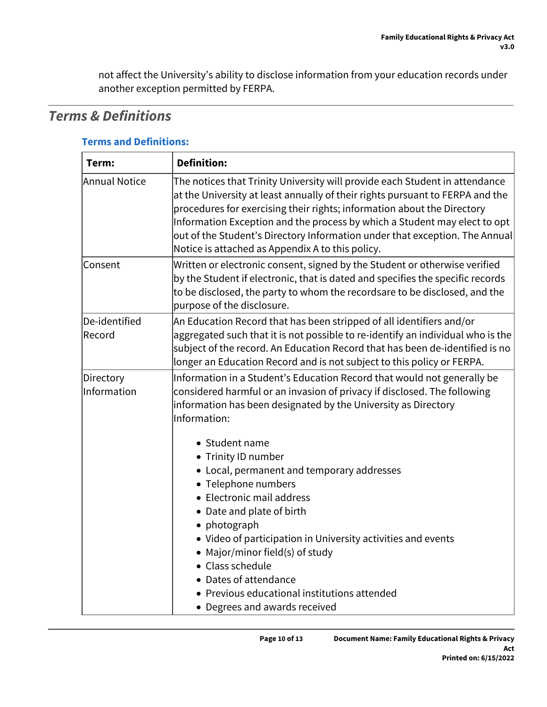not affect the University's ability to disclose information from your education records under another exception permitted by FERPA.

# *Terms & Definitions*

| <b>Terms and Definitions:</b> |  |  |  |  |  |
|-------------------------------|--|--|--|--|--|
|                               |  |  |  |  |  |

| Term:                    | <b>Definition:</b>                                                                                                                                                                                                                                                                                                                                                                                                                                      |  |  |
|--------------------------|---------------------------------------------------------------------------------------------------------------------------------------------------------------------------------------------------------------------------------------------------------------------------------------------------------------------------------------------------------------------------------------------------------------------------------------------------------|--|--|
| <b>Annual Notice</b>     | The notices that Trinity University will provide each Student in attendance<br>at the University at least annually of their rights pursuant to FERPA and the<br>procedures for exercising their rights; information about the Directory<br>Information Exception and the process by which a Student may elect to opt<br>out of the Student's Directory Information under that exception. The Annual<br>Notice is attached as Appendix A to this policy. |  |  |
| Consent                  | Written or electronic consent, signed by the Student or otherwise verified<br>by the Student if electronic, that is dated and specifies the specific records<br>to be disclosed, the party to whom the recordsare to be disclosed, and the<br>purpose of the disclosure.                                                                                                                                                                                |  |  |
| De-identified<br>Record  | An Education Record that has been stripped of all identifiers and/or<br>aggregated such that it is not possible to re-identify an individual who is the<br>subject of the record. An Education Record that has been de-identified is no<br>longer an Education Record and is not subject to this policy or FERPA.                                                                                                                                       |  |  |
| Directory<br>Information | Information in a Student's Education Record that would not generally be<br>considered harmful or an invasion of privacy if disclosed. The following<br>information has been designated by the University as Directory<br>Information:                                                                                                                                                                                                                   |  |  |
|                          | • Student name<br>• Trinity ID number<br>• Local, permanent and temporary addresses<br>• Telephone numbers<br>• Electronic mail address<br>• Date and plate of birth<br>• photograph<br>• Video of participation in University activities and events<br>• Major/minor field(s) of study<br>• Class schedule<br>• Dates of attendance<br>• Previous educational institutions attended<br>• Degrees and awards received                                   |  |  |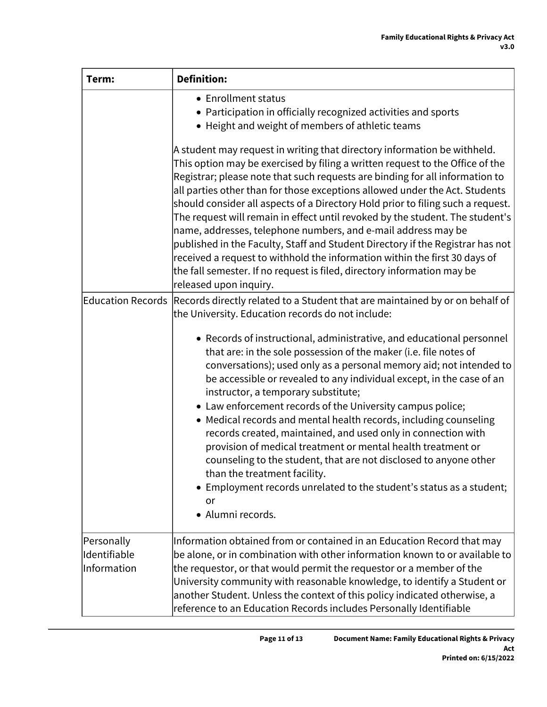| Term:                                     | <b>Definition:</b>                                                                                                                                                                                                                                                                                                                                                                                                                                                                                                                                                                                                                                                                                                                                                                                                                 |
|-------------------------------------------|------------------------------------------------------------------------------------------------------------------------------------------------------------------------------------------------------------------------------------------------------------------------------------------------------------------------------------------------------------------------------------------------------------------------------------------------------------------------------------------------------------------------------------------------------------------------------------------------------------------------------------------------------------------------------------------------------------------------------------------------------------------------------------------------------------------------------------|
|                                           | • Enrollment status<br>• Participation in officially recognized activities and sports<br>• Height and weight of members of athletic teams                                                                                                                                                                                                                                                                                                                                                                                                                                                                                                                                                                                                                                                                                          |
|                                           | A student may request in writing that directory information be withheld.<br>This option may be exercised by filing a written request to the Office of the<br>Registrar; please note that such requests are binding for all information to<br>all parties other than for those exceptions allowed under the Act. Students<br>should consider all aspects of a Directory Hold prior to filing such a request.<br>The request will remain in effect until revoked by the student. The student's<br>name, addresses, telephone numbers, and e-mail address may be<br>published in the Faculty, Staff and Student Directory if the Registrar has not<br>received a request to withhold the information within the first 30 days of<br>the fall semester. If no request is filed, directory information may be<br>released upon inquiry. |
| <b>Education Records</b>                  | Records directly related to a Student that are maintained by or on behalf of<br>the University. Education records do not include:                                                                                                                                                                                                                                                                                                                                                                                                                                                                                                                                                                                                                                                                                                  |
|                                           | • Records of instructional, administrative, and educational personnel<br>that are: in the sole possession of the maker (i.e. file notes of<br>conversations); used only as a personal memory aid; not intended to<br>be accessible or revealed to any individual except, in the case of an<br>instructor, a temporary substitute;<br>• Law enforcement records of the University campus police;<br>• Medical records and mental health records, including counseling<br>records created, maintained, and used only in connection with<br>provision of medical treatment or mental health treatment or<br>counseling to the student, that are not disclosed to anyone other<br>than the treatment facility.<br>Employment records unrelated to the student's status as a student;<br>or<br>· Alumni records.                        |
| Personally<br>Identifiable<br>Information | Information obtained from or contained in an Education Record that may<br>be alone, or in combination with other information known to or available to<br>the requestor, or that would permit the requestor or a member of the<br>University community with reasonable knowledge, to identify a Student or<br>another Student. Unless the context of this policy indicated otherwise, a<br>reference to an Education Records includes Personally Identifiable                                                                                                                                                                                                                                                                                                                                                                       |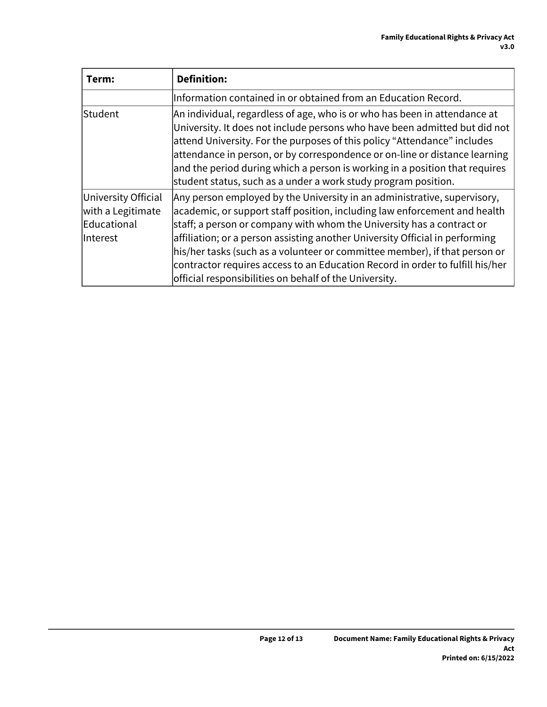| Term:                                                               | <b>Definition:</b>                                                                                                                                                                                                                                                                                                                                                                                                                                                                                                                      |
|---------------------------------------------------------------------|-----------------------------------------------------------------------------------------------------------------------------------------------------------------------------------------------------------------------------------------------------------------------------------------------------------------------------------------------------------------------------------------------------------------------------------------------------------------------------------------------------------------------------------------|
|                                                                     | Information contained in or obtained from an Education Record.                                                                                                                                                                                                                                                                                                                                                                                                                                                                          |
| Student                                                             | An individual, regardless of age, who is or who has been in attendance at<br>University. It does not include persons who have been admitted but did not<br>attend University. For the purposes of this policy "Attendance" includes<br>attendance in person, or by correspondence or on-line or distance learning<br>and the period during which a person is working in a position that requires<br>student status, such as a under a work study program position.                                                                      |
| University Official<br>with a Legitimate<br>Educational<br>Interest | Any person employed by the University in an administrative, supervisory,<br>academic, or support staff position, including law enforcement and health<br>staff; a person or company with whom the University has a contract or<br>affiliation; or a person assisting another University Official in performing<br>his/her tasks (such as a volunteer or committee member), if that person or<br>contractor requires access to an Education Record in order to fulfill his/her<br>official responsibilities on behalf of the University. |